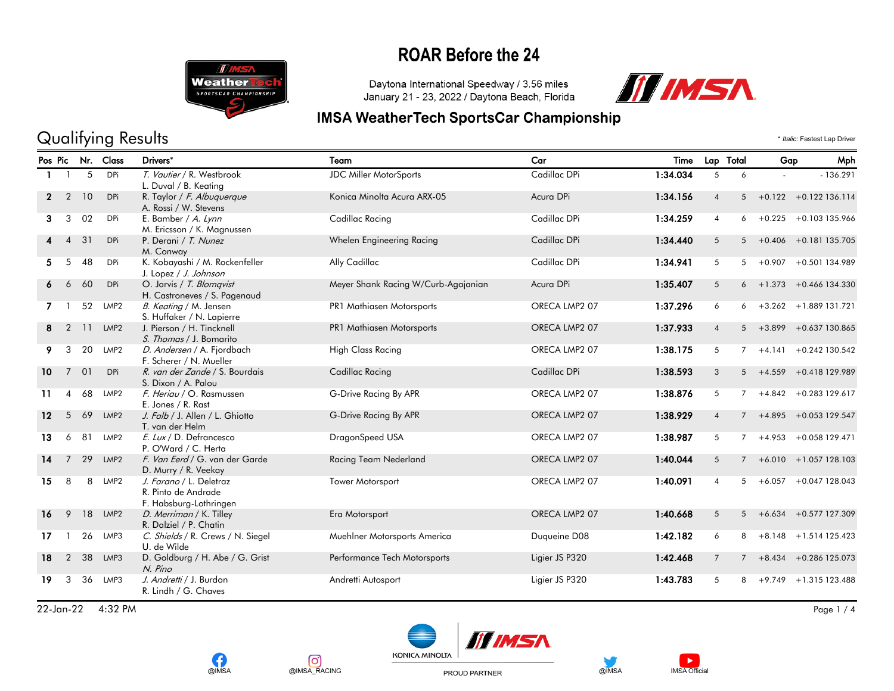

Daytona International Speedway / 3.56 miles January 21 - 23, 2022 / Daytona Beach, Florida



#### **IMSA WeatherTech SportsCar Championship**

### Qualifying Results \* *Italic:* Fastest Lap Driver

|                   |                |    | Pos Pic Nr. Class | Drivers*                                                                 | Team                                | Car            | Time     | Lap Total      |                | Gap         | Mph                        |
|-------------------|----------------|----|-------------------|--------------------------------------------------------------------------|-------------------------------------|----------------|----------|----------------|----------------|-------------|----------------------------|
|                   |                | 5  | DPi               | T. Vautier / R. Westbrook<br>L. Duval / B. Keating                       | <b>JDC Miller MotorSports</b>       | Cadillac DPi   | 1:34.034 | 5              | 6              |             | $-136.291$                 |
| $\mathbf{2}$      | $\overline{2}$ | 10 | <b>DPi</b>        | R. Taylor / F. Albuguergue<br>A. Rossi / W. Stevens                      | Konica Minolta Acura ARX-05         | Acura DPi      | 1:34.156 | $\overline{4}$ | 5              |             | $+0.122 + 0.122$ 136.114   |
| 3                 | 3              | 02 | <b>DPi</b>        | E. Bamber / A. Lynn<br>M. Ericsson / K. Magnussen                        | Cadillac Racing                     | Cadillac DPi   | 1:34.259 | $\overline{4}$ | 6              |             | $+0.225 +0.103135.966$     |
|                   | $\overline{4}$ | 31 | DPi               | P. Derani / T. Nunez<br>M. Conway                                        | Whelen Engineering Racing           | Cadillac DPi   | 1:34.440 | 5              |                |             | $5 + 0.406 + 0.181135.705$ |
| 5.                | 5              | 48 | DPi               | K. Kobayashi / M. Rockenfeller<br>J. Lopez / J. Johnson                  | Ally Cadillac                       | Cadillac DPi   | 1:34.941 | 5              | 5              |             | $+0.907 +0.501134.989$     |
| 6                 | 6              | 60 | <b>DPi</b>        | O. Jarvis / T. Blomqvist<br>H. Castroneves / S. Pagenaud                 | Meyer Shank Racing W/Curb-Agajanian | Acura DPi      | 1:35.407 | 5              |                | $6 + 1.373$ | +0.466 134.330             |
| $\overline{7}$    |                | 52 | LMP <sub>2</sub>  | B. Keating / M. Jensen<br>S. Huffaker / N. Lapierre                      | PR1 Mathiasen Motorsports           | ORECA LMP2 07  | 1:37.296 | 6              |                |             | $6 + 3.262 + 1.889131.721$ |
| 8                 | $\overline{2}$ | 11 | LMP <sub>2</sub>  | J. Pierson / H. Tincknell<br>S. Thomas / J. Bomarito                     | PR1 Mathiasen Motorsports           | ORECA LMP2 07  | 1:37.933 | $\overline{4}$ | 5 <sup>5</sup> | $+3.899$    | +0.637 130.865             |
| 9.                | 3              | 20 | LMP2              | D. Andersen / A. Fjordbach<br>F. Scherer / N. Mueller                    | <b>High Class Racing</b>            | ORECA LMP2 07  | 1:38.175 | 5              |                |             | $7 + 4.141 + 0.242130.542$ |
| 10                | $7^{\circ}$    | 01 | DPi               | R. van der Zande / S. Bourdais<br>S. Dixon / A. Palou                    | Cadillac Racing                     | Cadillac DPi   | 1:38.593 | 3              |                |             | $5 + 4.559 + 0.418129.989$ |
| 11                | $\overline{4}$ | 68 | LMP2              | F. Heriau / O. Rasmussen<br>E. Jones / R. Rast                           | G-Drive Racing By APR               | ORECA LMP2 07  | 1:38.876 | 5              | $7^{\circ}$    |             | $+4.842 + 0.283129.617$    |
| $12 \overline{ }$ | 5              | 69 | LMP <sub>2</sub>  | J. Falb / J. Allen / L. Ghiotto<br>T. van der Helm                       | G-Drive Racing By APR               | ORECA LMP2 07  | 1:38.929 | $\overline{4}$ |                |             | $7 + 4.895 + 0.053129.547$ |
| 13                | 6              | 81 | LMP2              | E. Lux / D. Defrancesco<br>P. O'Ward / C. Herta                          | DragonSpeed USA                     | ORECA LMP2 07  | 1:38.987 | 5              | $7^{\circ}$    | $+4.953$    | +0.058 129.471             |
| 14                | $\overline{7}$ | 29 | LMP <sub>2</sub>  | F. Van Eerd / G. van der Garde<br>D. Murry / R. Veekay                   | Racing Team Nederland               | ORECA LMP2 07  | 1:40.044 | 5              | $7^{\circ}$    |             | $+6.010 + 1.057128.103$    |
| 15                | 8              | 8  | LMP2              | J. Farano / L. Deletraz<br>R. Pinto de Andrade<br>F. Habsburg-Lothringen | Tower Motorsport                    | ORECA LMP2 07  | 1:40.091 | $\overline{4}$ |                |             | $5 + 6.057 + 0.047128.043$ |
| 16                | 9              | 18 | LMP2              | D. Merriman / K. Tilley<br>R. Dalziel / P. Chatin                        | Era Motorsport                      | ORECA LMP2 07  | 1:40.668 | 5              |                |             | $5 + 6.634 + 0.577127.309$ |
| 17                |                | 26 | LMP3              | C. Shields / R. Crews / N. Siegel<br>U. de Wilde                         | Muehlner Motorsports America        | Duqueine D08   | 1:42.182 | 6              | 8              |             | $+8.148 + 1.514$ 125.423   |
| 18                | $\overline{2}$ | 38 | LMP3              | D. Goldburg / H. Abe / G. Grist<br>N. Pino                               | Performance Tech Motorsports        | Ligier JS P320 | 1:42.468 | $7^{\circ}$    | 7              |             | $+8.434 + 0.286$ 125.073   |
| 19                | 3              | 36 | LMP3              | J. Andretti / J. Burdon<br>R. Lindh / G. Chaves                          | Andretti Autosport                  | Ligier JS P320 | 1:43.783 | 5              | 8              | $+9.749$    | +1.315 123.488             |

22-Jan-22 4:32 PM Page 1 / 4







PROUD PARTNER



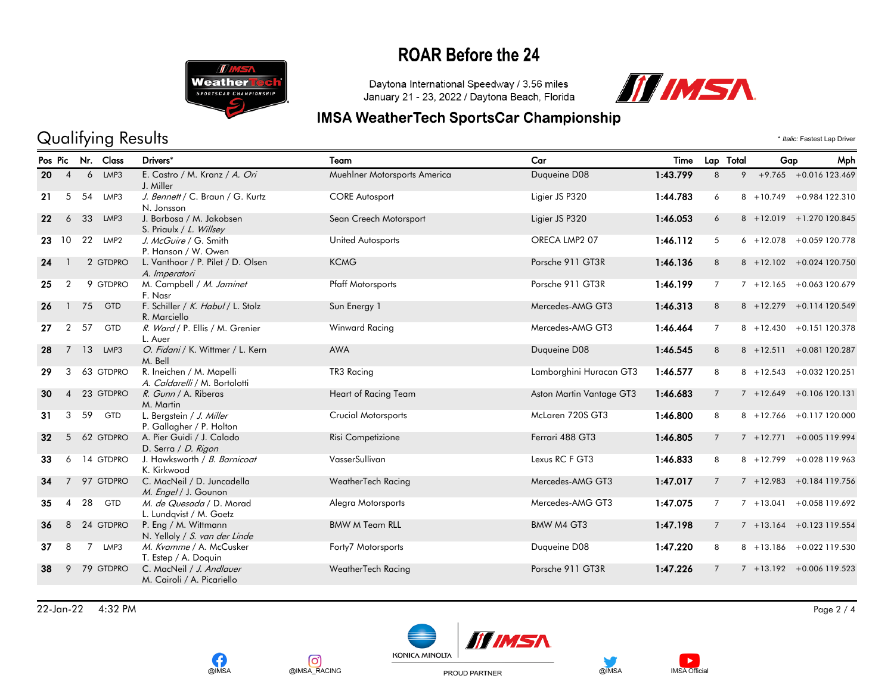

# Qualifying Results \* *Italic:* Fastest Lap Driver

Daytona International Speedway / 3.56 miles January 21 - 23, 2022 / Daytona Beach, Florida

**IMSA WeatherTech SportsCar Championship** 



|    | Pos Pic        | Nr.            | Class      | Drivers*                                                  | Team                         | Car                      | Time     | Lap Total       |   | Gap | Mph                         |
|----|----------------|----------------|------------|-----------------------------------------------------------|------------------------------|--------------------------|----------|-----------------|---|-----|-----------------------------|
| 20 | $\overline{4}$ | 6              | LMP3       | E. Castro / M. Kranz / A. Ori<br>J. Miller                | Muehlner Motorsports America | Duqueine D08             | 1:43.799 | 8               | 9 |     | $+9.765 + 0.016123.469$     |
| 21 | 5              | 54             | LMP3       | J. Bennett / C. Braun / G. Kurtz<br>N. Jonsson            | <b>CORE Autosport</b>        | Ligier JS P320           | 1:44.783 | 6               |   |     | 8 +10.749 +0.984 122.310    |
| 22 | 6              | 33             | LMP3       | J. Barbosa / M. Jakobsen<br>S. Priaulx / L. Willsey       | Sean Creech Motorsport       | Ligier JS P320           | 1:46.053 | 6               |   |     | 8 +12.019 +1.270 120.845    |
| 23 | 10             | 22             | LMP2       | J. McGuire / G. Smith<br>P. Hanson / W. Owen              | United Autosports            | ORECA LMP2 07            | 1:46.112 | 5               |   |     | $6 + 12.078 + 0.059120.778$ |
| 24 |                |                | 2 GTDPRO   | L. Vanthoor / P. Pilet / D. Olsen<br>A. Imperatori        | <b>KCMG</b>                  | Porsche 911 GT3R         | 1:46.136 | 8               |   |     | 8 +12.102 +0.024 120.750    |
| 25 | $\overline{2}$ |                | 9 GTDPRO   | M. Campbell / M. Jaminet<br>F. Nasr                       | <b>Pfaff Motorsports</b>     | Porsche 911 GT3R         | 1:46.199 | $\overline{7}$  |   |     | $7 + 12.165 + 0.063120.679$ |
| 26 | $\mathbf{1}$   | 75             | GTD        | F. Schiller / K. Habul / L. Stolz<br>R. Marciello         | Sun Energy 1                 | Mercedes-AMG GT3         | 1:46.313 | 8               |   |     | 8 +12.279 +0.114 120.549    |
| 27 | $\overline{2}$ | 57             | <b>GTD</b> | R. Ward / P. Ellis / M. Grenier<br>L. Auer                | Winward Racing               | Mercedes-AMG GT3         | 1:46.464 | $\overline{7}$  |   |     | 8 +12.430 +0.151 120.378    |
| 28 | $\overline{7}$ | 13             | LMP3       | O. Fidani / K. Wittmer / L. Kern<br>M. Bell               | <b>AWA</b>                   | Duqueine D08             | 1:46.545 | 8               |   |     | 8 +12.511 +0.081 120.287    |
| 29 | 3              |                | 63 GTDPRO  | R. Ineichen / M. Mapelli<br>A. Caldarelli / M. Bortolotti | TR3 Racing                   | Lamborghini Huracan GT3  | 1:46.577 | 8               |   |     | 8 +12.543 +0.032 120.251    |
| 30 | $\overline{4}$ |                | 23 GTDPRO  | R. Gunn / A. Riberas<br>M. Martin                         | Heart of Racing Team         | Aston Martin Vantage GT3 | 1:46.683 | $\overline{7}$  |   |     | $7 + 12.649 + 0.106120.131$ |
| 31 | 3              | 59             | <b>GTD</b> | L. Bergstein / J. Miller<br>P. Gallagher / P. Holton      | <b>Crucial Motorsports</b>   | McLaren 720S GT3         | 1:46.800 | 8               |   |     | 8 +12.766 +0.117 120.000    |
| 32 | 5              |                | 62 GTDPRO  | A. Pier Guidi / J. Calado<br>D. Serra / D. Rigon          | Risi Competizione            | Ferrari 488 GT3          | 1:46.805 | $7\overline{ }$ |   |     | 7 +12.771 +0.005 119.994    |
| 33 | 6              |                | 14 GTDPRO  | J. Hawksworth / B. Barnicoat<br>K. Kirkwood               | VasserSullivan               | Lexus RC F GT3           | 1:46.833 | 8               |   |     | 8 +12.799 +0.028 119.963    |
| 34 | 7              |                | 97 GTDPRO  | C. MacNeil / D. Juncadella<br>M. Engel / J. Gounon        | WeatherTech Racing           | Mercedes-AMG GT3         | 1:47.017 | $\overline{7}$  |   |     | $7 + 12.983 + 0.184119.756$ |
| 35 | 4              | 28             | <b>GTD</b> | M. de Quesada / D. Morad<br>L. Lundqvist / M. Goetz       | Alegra Motorsports           | Mercedes-AMG GT3         | 1:47.075 | 7               |   |     | $7 + 13.041 + 0.058119.692$ |
| 36 | 8              |                | 24 GTDPRO  | P. Eng / M. Wittmann<br>N. Yelloly / S. van der Linde     | <b>BMW M Team RLL</b>        | BMW M4 GT3               | 1:47.198 | $\overline{7}$  |   |     | $7 + 13.164 + 0.123119.554$ |
| 37 | 8              | $\overline{7}$ | LMP3       | M. Kvamme / A. McCusker<br>T. Estep / A. Doquin           | Forty7 Motorsports           | Duqueine D08             | 1:47.220 | 8               |   |     | 8 +13.186 +0.022 119.530    |
| 38 | 9              |                | 79 GTDPRO  | C. MacNeil / J. Andlauer<br>M. Cairoli / A. Picariello    | WeatherTech Racing           | Porsche 911 GT3R         | 1:47.226 | $\overline{7}$  |   |     | 7 +13.192 +0.006 119.523    |

22-Jan-22 4:32 PM Page 2 / 4







PROUD PARTNER



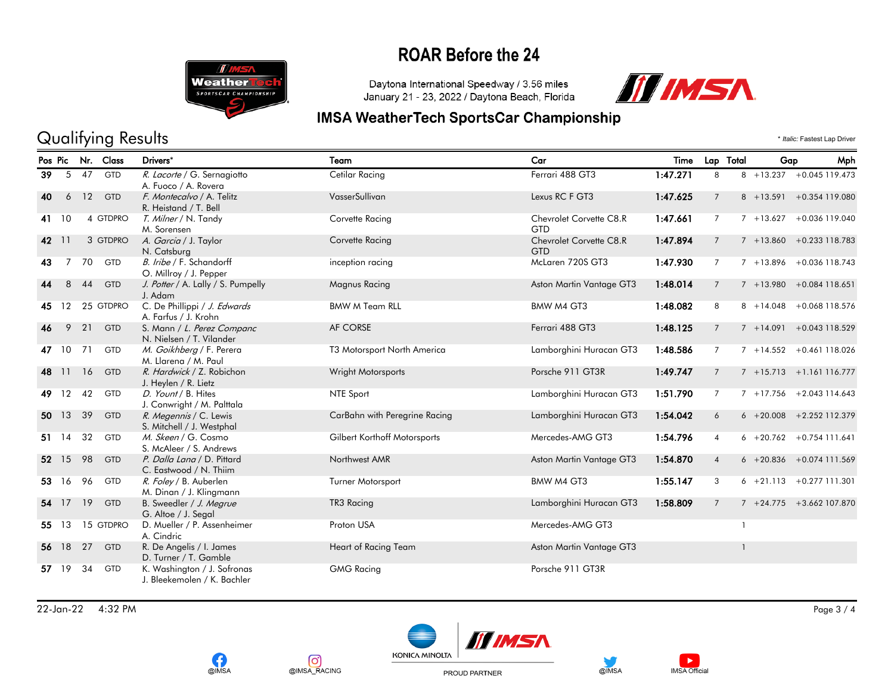

Daytona International Speedway / 3.56 miles January 21 - 23, 2022 / Daytona Beach, Florida



### **IMSA WeatherTech SportsCar Championship**

### Qualifying Results \* *Italic:* Fastest Lap Driver

|     |                   |      | Pos Pic Nr. Class | Drivers*                                             | Team                          | Car                      | Time     |                | Lap Total<br>Gap | <b>Mph</b>                  |
|-----|-------------------|------|-------------------|------------------------------------------------------|-------------------------------|--------------------------|----------|----------------|------------------|-----------------------------|
| 39  |                   | 5 47 | <b>GTD</b>        | R. Lacorte / G. Sernagiotto                          | Cetilar Racing                | Ferrari 488 GT3          | 1:47.271 | 8              |                  | 8 +13.237 +0.045 119.473    |
|     |                   |      |                   | A. Fuoco / A. Rovera                                 |                               |                          |          |                |                  |                             |
| 40  | 6                 | 12   | <b>GTD</b>        | F. Montecalvo / A. Telitz<br>R. Heistand / T. Bell   | VasserSullivan                | Lexus RC F GT3           | 1:47.625 | $7^{\circ}$    |                  | 8 +13.591 +0.354 119.080    |
| 41  | 10                |      | 4 GTDPRO          | <i>T. Milner</i> / N. Tandy                          | Corvette Racing               | Chevrolet Corvette C8.R  | 1:47.661 | $\overline{7}$ |                  | $7 + 13.627 + 0.036119.040$ |
|     |                   |      |                   | M. Sorensen                                          |                               | GTD                      |          |                |                  |                             |
| 42  | 11                |      | 3 GTDPRO          | A. Garcia / J. Taylor                                | Corvette Racing               | Chevrolet Corvette C8.R  | 1:47.894 | $\overline{7}$ |                  | $7 + 13.860 + 0.233118.783$ |
|     |                   |      |                   | N. Catsburg                                          |                               | <b>GTD</b>               |          |                |                  |                             |
| 43  | $\overline{7}$    | 70   | <b>GTD</b>        | B. Iribe / F. Schandorff                             | inception racing              | McLaren 720S GT3         | 1:47.930 | $\overline{7}$ |                  | $7 + 13.896 + 0.036118.743$ |
|     |                   |      |                   | O. Millroy / J. Pepper                               |                               |                          |          |                |                  |                             |
|     | 8                 | 44   | <b>GTD</b>        | J. Potter / A. Lally / S. Pumpelly                   | <b>Magnus Racing</b>          | Aston Martin Vantage GT3 | 1:48.014 | $7^{\circ}$    |                  | $7 + 13.980 + 0.084118.651$ |
|     |                   |      |                   | J. Adam                                              |                               |                          |          |                |                  |                             |
| 45. | $12 \overline{ }$ |      | 25 GTDPRO         | C. De Phillippi / J. Edwards<br>A. Farfus / J. Krohn | <b>BMW M Team RLL</b>         | BMW M4 GT3               | 1:48.082 | 8              |                  | 8 +14.048 +0.068 118.576    |
| 46  | 9                 | 21   | <b>GTD</b>        | S. Mann / L. Perez Companc                           | AF CORSE                      | Ferrari 488 GT3          | 1:48.125 | $7^{\circ}$    |                  | $7 + 14.091 + 0.043118.529$ |
|     |                   |      |                   | N. Nielsen / T. Vilander                             |                               |                          |          |                |                  |                             |
| 47  | 10                | 71   | <b>GTD</b>        | M. Goikhberg / F. Perera                             | T3 Motorsport North America   | Lamborghini Huracan GT3  | 1:48.586 | $\overline{7}$ |                  | $7 + 14.552 + 0.461118.026$ |
|     |                   |      |                   | M. Llarena / M. Paul                                 |                               |                          |          |                |                  |                             |
| 48  | 11                | 16   | <b>GTD</b>        | R. Hardwick / Z. Robichon                            | Wright Motorsports            | Porsche 911 GT3R         | 1:49.747 | $\overline{7}$ |                  | $7 + 15.713 + 1.161116.777$ |
|     |                   |      |                   | J. Heylen / R. Lietz                                 |                               |                          |          |                |                  |                             |
| 49  | 12                | 42   | <b>GTD</b>        | D. Yount / B. Hites                                  | NTE Sport                     | Lamborghini Huracan GT3  | 1:51.790 | $7^{\circ}$    |                  | $7 + 17.756 + 2.043114.643$ |
|     |                   |      |                   | J. Conwright / M. Palttala                           |                               |                          |          |                |                  |                             |
| 50  | 13                | 39   | <b>GTD</b>        | R. Megennis / C. Lewis                               | CarBahn with Peregrine Racing | Lamborghini Huracan GT3  | 1:54.042 | 6              |                  | $6 + 20.008 + 2.252112.379$ |
|     | 14                | 32   | <b>GTD</b>        | S. Mitchell / J. Westphal<br>M. Skeen / G. Cosmo     | Gilbert Korthoff Motorsports  | Mercedes-AMG GT3         | 1:54.796 | $\overline{4}$ |                  | $6 + 20.762 + 0.754111.641$ |
| 51. |                   |      |                   | S. McAleer / S. Andrews                              |                               |                          |          |                |                  |                             |
|     | 52 15             | 98   | <b>GTD</b>        | P. Dalla Lana / D. Pittard                           | Northwest AMR                 | Aston Martin Vantage GT3 | 1:54.870 | $\overline{4}$ |                  | $6 + 20.836 + 0.074111.569$ |
|     |                   |      |                   | C. Eastwood / N. Thiim                               |                               |                          |          |                |                  |                             |
| 53. | 16                | 96   | <b>GTD</b>        | R. Foley / B. Auberlen                               | Turner Motorsport             | BMW M4 GT3               | 1:55.147 | 3              |                  | $6 + 21.113 + 0.277111.301$ |
|     |                   |      |                   | M. Dinan / J. Klingmann                              |                               |                          |          |                |                  |                             |
| 54  | 17                | 19   | <b>GTD</b>        | B. Sweedler / J. Megrue                              | TR3 Racing                    | Lamborghini Huracan GT3  | 1:58.809 | $7^{\circ}$    |                  | $7 + 24.775 + 3.662107.870$ |
|     |                   |      |                   | G. Altoe / J. Segal                                  |                               |                          |          |                |                  |                             |
| 55  | 13                |      | 15 GTDPRO         | D. Mueller / P. Assenheimer                          | Proton USA                    | Mercedes-AMG GT3         |          |                |                  |                             |
|     |                   |      |                   | A. Cindric                                           |                               |                          |          |                |                  |                             |
| 56  | 18                | 27   | <b>GTD</b>        | R. De Angelis / I. James<br>D. Turner / T. Gamble    | Heart of Racing Team          | Aston Martin Vantage GT3 |          |                |                  |                             |
| 57  | 19                | 34   | GTD               | K. Washington / J. Sofronas                          | <b>GMG Racing</b>             | Porsche 911 GT3R         |          |                |                  |                             |
|     |                   |      |                   | J. Bleekemolen / K. Bachler                          |                               |                          |          |                |                  |                             |

22-Jan-22 4:32 PM Page 3 / 4







PROUD PARTNER